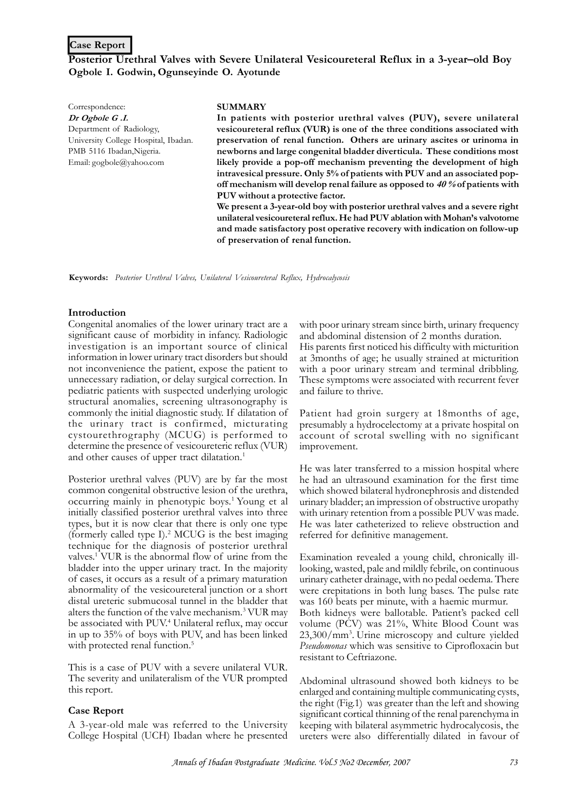## **Case Report**

# **Posterior Urethral Valves with Severe Unilateral Vesicoureteral Reflux in a 3-year–old Boy Ogbole I. Godwin, Ogunseyinde O. Ayotunde**

Correspondence: *Dr Ogbole G .I.* Department of Radiology, University College Hospital, Ibadan. PMB 5116 Ibadan, Nigeria. Email: gogbole@yahoo.com

#### **SUMMARY**

**In patients with posterior urethral valves (PUV), severe unilateral vesicoureteral reflux (VUR) is one of the three conditions associated with preservation of renal function. Others are urinary ascites or urinoma in newborns and large congenital bladder diverticula. These conditions most likely provide a pop-off mechanism preventing the development of high intravesical pressure. Only 5% of patients with PUV and an associated popoff mechanism will develop renal failure as opposed to** *40 %* **of patients with PUV without a protective factor.**

**We present a 3-year-old boy with posterior urethral valves and a severe right unilateral vesicoureteral reflux. He had PUV ablation with Mohan's valvotome and made satisfactory post operative recovery with indication on follow-up of preservation of renal function.**

**Keywords:** *Posterior Urethral Valves, Unilateral Vesicoureteral Reflux, Hydrocalycosis*

### **Introduction**

Congenital anomalies of the lower urinary tract are a significant cause of morbidity in infancy. Radiologic investigation is an important source of clinical information in lower urinary tract disorders but should not inconvenience the patient, expose the patient to unnecessary radiation, or delay surgical correction. In pediatric patients with suspected underlying urologic structural anomalies, screening ultrasonography is commonly the initial diagnostic study. If dilatation of the urinary tract is confirmed, micturating cystourethrography (MCUG) is performed to determine the presence of vesicoureteric reflux (VUR) and other causes of upper tract dilatation.<sup>1</sup>

Posterior urethral valves (PUV) are by far the most common congenital obstructive lesion of the urethra, occurring mainly in phenotypic boys.<sup>1</sup> Young et al initially classified posterior urethral valves into three types, but it is now clear that there is only one type (formerly called type I).<sup>2</sup> MCUG is the best imaging technique for the diagnosis of posterior urethral valves.<sup>1</sup> VUR is the abnormal flow of urine from the bladder into the upper urinary tract. In the majority of cases, it occurs as a result of a primary maturation abnormality of the vesicoureteral junction or a short distal ureteric submucosal tunnel in the bladder that alters the function of the valve mechanism.<sup>3</sup> VUR may be associated with PUV.<sup>4</sup> Unilateral reflux, may occur in up to 35% of boys with PUV, and has been linked with protected renal function.<sup>5</sup>

This is a case of PUV with a severe unilateral VUR. The severity and unilateralism of the VUR prompted this report.

#### **Case Report**

A 3-year-old male was referred to the University College Hospital (UCH) Ibadan where he presented with poor urinary stream since birth, urinary frequency and abdominal distension of 2 months duration. His parents first noticed his difficulty with micturition at 3months of age; he usually strained at micturition with a poor urinary stream and terminal dribbling. These symptoms were associated with recurrent fever and failure to thrive.

Patient had groin surgery at 18months of age, presumably a hydrocelectomy at a private hospital on account of scrotal swelling with no significant improvement.

He was later transferred to a mission hospital where he had an ultrasound examination for the first time which showed bilateral hydronephrosis and distended urinary bladder; an impression of obstructive uropathy with urinary retention from a possible PUV was made. He was later catheterized to relieve obstruction and referred for definitive management.

Examination revealed a young child, chronically illlooking, wasted, pale and mildly febrile, on continuous urinary catheter drainage, with no pedal oedema. There were crepitations in both lung bases. The pulse rate was 160 beats per minute, with a haemic murmur. Both kidneys were ballotable. Patient's packed cell volume (PCV) was 21%, White Blood Count was 23,300/mm<sup>3</sup> . Urine microscopy and culture yielded *Pseudomonas* which was sensitive to Ciprofloxacin but resistant to Ceftriazone.

Abdominal ultrasound showed both kidneys to be enlarged and containing multiple communicating cysts, the right (Fig.1) was greater than the left and showing significant cortical thinning of the renal parenchyma in keeping with bilateral asymmetric hydrocalycosis, the ureters were also differentially dilated in favour of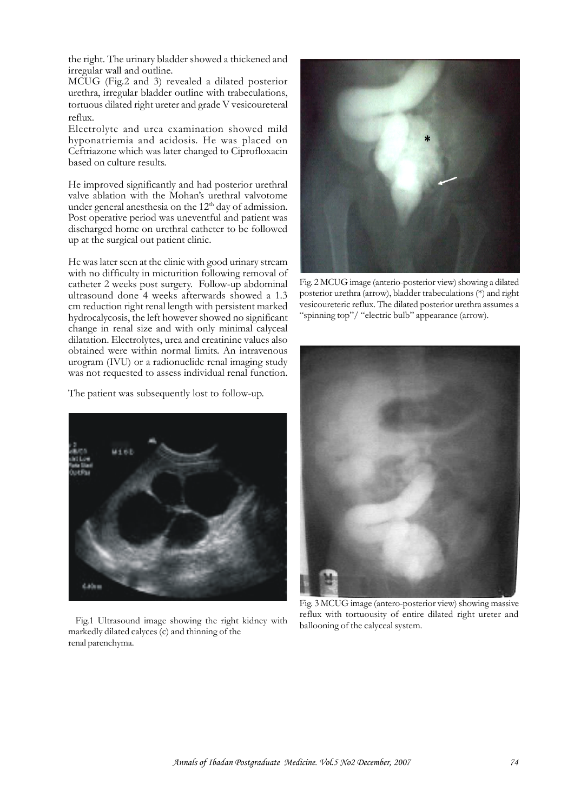the right. The urinary bladder showed a thickened and irregular wall and outline.

MCUG (Fig.2 and 3) revealed a dilated posterior urethra, irregular bladder outline with trabeculations, tortuous dilated right ureter and grade V vesicoureteral reflux.

Electrolyte and urea examination showed mild hyponatriemia and acidosis. He was placed on Ceftriazone which was later changed to Ciprofloxacin based on culture results.

He improved significantly and had posterior urethral valve ablation with the Mohan's urethral valvotome under general anesthesia on the 12<sup>th</sup> day of admission. Post operative period was uneventful and patient was discharged home on urethral catheter to be followed up at the surgical out patient clinic.

He was later seen at the clinic with good urinary stream with no difficulty in micturition following removal of catheter 2 weeks post surgery. Follow-up abdominal ultrasound done 4 weeks afterwards showed a 1.3 cm reduction right renal length with persistent marked hydrocalycosis, the left however showed no significant change in renal size and with only minimal calyceal dilatation. Electrolytes, urea and creatinine values also obtained were within normal limits. An intravenous urogram (IVU) or a radionuclide renal imaging study was not requested to assess individual renal function.

The patient was subsequently lost to follow-up.



Fig.1 Ultrasound image showing the right kidney with markedly dilated calyces (c) and thinning of the renal parenchyma.



Fig. 2 MCUG image (anterio-posterior view) showing a dilated posterior urethra (arrow), bladder trabeculations (\*) and right vesicoureteric reflux. The dilated posterior urethra assumes a "spinning top"/ "electric bulb" appearance (arrow).



Fig. 3 MCUG image (antero-posterior view) showing massive reflux with tortuousity of entire dilated right ureter and ballooning of the calyceal system.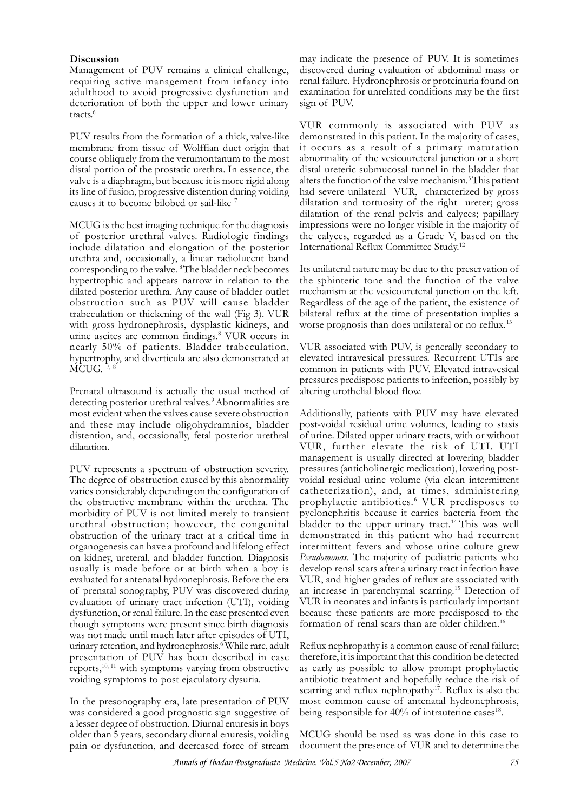### **Discussion**

Management of PUV remains a clinical challenge, requiring active management from infancy into adulthood to avoid progressive dysfunction and deterioration of both the upper and lower urinary tracts.<sup>6</sup>

PUV results from the formation of a thick, valve-like membrane from tissue of Wolffian duct origin that course obliquely from the verumontanum to the most distal portion of the prostatic urethra. In essence, the valve is a diaphragm, but because it is more rigid along its line of fusion, progressive distention during voiding causes it to become bilobed or sail-like <sup>7</sup>

MCUG is the best imaging technique for the diagnosis of posterior urethral valves. Radiologic findings include dilatation and elongation of the posterior urethra and, occasionally, a linear radiolucent band corresponding to the valve. <sup>8</sup>The bladder neck becomes hypertrophic and appears narrow in relation to the dilated posterior urethra. Any cause of bladder outlet obstruction such as PUV will cause bladder trabeculation or thickening of the wall (Fig 3). VUR with gross hydronephrosis, dysplastic kidneys, and urine ascites are common findings.<sup>8</sup> VUR occurs in nearly 50% of patients. Bladder trabeculation, hypertrophy, and diverticula are also demonstrated at  $\text{M\text{\sc CUG}}$ . 7, 8

Prenatal ultrasound is actually the usual method of detecting posterior urethral valves.<sup>9</sup>Abnormalities are most evident when the valves cause severe obstruction and these may include oligohydramnios, bladder distention, and, occasionally, fetal posterior urethral dilatation.

PUV represents a spectrum of obstruction severity. The degree of obstruction caused by this abnormality varies considerably depending on the configuration of the obstructive membrane within the urethra. The morbidity of PUV is not limited merely to transient urethral obstruction; however, the congenital obstruction of the urinary tract at a critical time in organogenesis can have a profound and lifelong effect on kidney, ureteral, and bladder function. Diagnosis usually is made before or at birth when a boy is evaluated for antenatal hydronephrosis. Before the era of prenatal sonography, PUV was discovered during evaluation of urinary tract infection (UTI), voiding dysfunction, or renal failure. In the case presented even though symptoms were present since birth diagnosis was not made until much later after episodes of UTI, urinary retention, and hydronephrosis.<sup>6</sup> While rare, adult presentation of PUV has been described in case reports, $10, 11$  with symptoms varying from obstructive voiding symptoms to post ejaculatory dysuria.

In the presonography era, late presentation of PUV was considered a good prognostic sign suggestive of a lesser degree of obstruction. Diurnal enuresis in boys older than 5 years, secondary diurnal enuresis, voiding pain or dysfunction, and decreased force of stream

may indicate the presence of PUV. It is sometimes discovered during evaluation of abdominal mass or renal failure. Hydronephrosis or proteinuria found on examination for unrelated conditions may be the first sign of PUV.

VUR commonly is associated with PUV as demonstrated in this patient. In the majority of cases, it occurs as a result of a primary maturation abnormality of the vesicoureteral junction or a short distal ureteric submucosal tunnel in the bladder that alters the function of the valve mechanism.<sup>3</sup>This patient had severe unilateral VUR, characterized by gross dilatation and tortuosity of the right ureter; gross dilatation of the renal pelvis and calyces; papillary impressions were no longer visible in the majority of the calyces, regarded as a Grade V, based on the International Reflux Committee Study.<sup>12</sup>

Its unilateral nature may be due to the preservation of the sphinteric tone and the function of the valve mechanism at the vesicoureteral junction on the left. Regardless of the age of the patient, the existence of bilateral reflux at the time of presentation implies a worse prognosis than does unilateral or no reflux.<sup>13</sup>

VUR associated with PUV, is generally secondary to elevated intravesical pressures. Recurrent UTIs are common in patients with PUV. Elevated intravesical pressures predispose patients to infection, possibly by altering urothelial blood flow.

Additionally, patients with PUV may have elevated post-voidal residual urine volumes, leading to stasis of urine. Dilated upper urinary tracts, with or without VUR, further elevate the risk of UTI. UTI management is usually directed at lowering bladder pressures (anticholinergic medication), lowering postvoidal residual urine volume (via clean intermittent catheterization), and, at times, administering prophylactic antibiotics. <sup>6</sup> VUR predisposes to pyelonephritis because it carries bacteria from the bladder to the upper urinary tract.<sup>14</sup> This was well demonstrated in this patient who had recurrent intermittent fevers and whose urine culture grew *Pseudomonas*. The majority of pediatric patients who develop renal scars after a urinary tract infection have VUR, and higher grades of reflux are associated with an increase in parenchymal scarring.<sup>15</sup> Detection of VUR in neonates and infants is particularly important because these patients are more predisposed to the formation of renal scars than are older children.<sup>16</sup>

Reflux nephropathy is a common cause of renal failure; therefore, it is important that this condition be detected as early as possible to allow prompt prophylactic antibiotic treatment and hopefully reduce the risk of scarring and reflux nephropathy<sup>17</sup>. Reflux is also the most common cause of antenatal hydronephrosis, being responsible for  $40\%$  of intrauterine cases<sup>18</sup>.

MCUG should be used as was done in this case to document the presence of VUR and to determine the